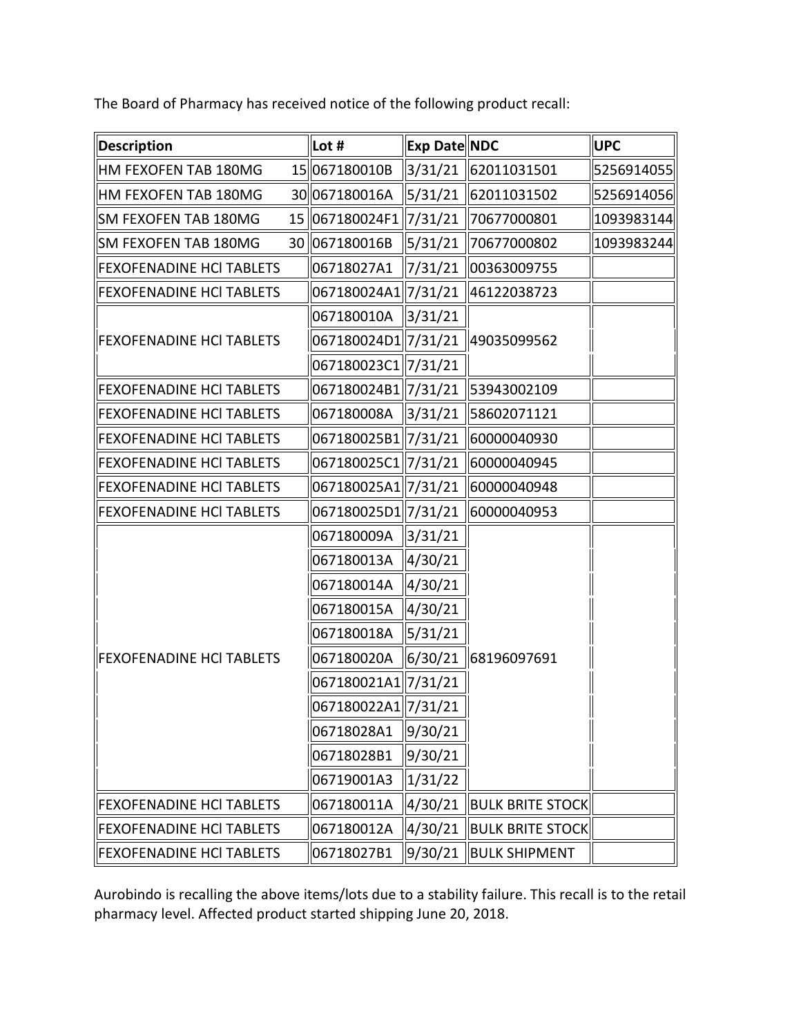The Board of Pharmacy has received notice of the following product recall:

| <b>Description</b>              | Lot #                              | Exp Date NDC         |                                    | <b>UPC</b> |
|---------------------------------|------------------------------------|----------------------|------------------------------------|------------|
| HM FEXOFEN TAB 180MG            | 15067180010B                       |                      | 3/31/21 62011031501                | 5256914055 |
| HM FEXOFEN TAB 180MG            | 30067180016A                       |                      | 5/31/21   62011031502              | 5256914056 |
| SM FEXOFEN TAB 180MG            | 15 067180024F1 7/31/21 70677000801 |                      |                                    | 1093983144 |
| SM FEXOFEN TAB 180MG            | 30 067180016B                      | 5/31/21              | 70677000802                        | 1093983244 |
| <b>FEXOFENADINE HCI TABLETS</b> | 06718027A1                         | $\frac{1}{7}$ /31/21 | 00363009755                        |            |
| FEXOFENADINE HCI TABLETS        | 067180024A1 7/31/21                |                      | 46122038723                        |            |
| <b>FEXOFENADINE HCI TABLETS</b> | 067180010A 3/31/21                 |                      | 49035099562                        |            |
|                                 | 067180024D1 7/31/21                |                      |                                    |            |
|                                 | 067180023C1  7/31/21               |                      |                                    |            |
| FEXOFENADINE HCI TABLETS        |                                    |                      | 067180024B1  7/31/21   53943002109 |            |
| FEXOFENADINE HCI TABLETS        | 067180008A 3/31/21                 |                      | 58602071121                        |            |
| <b>FEXOFENADINE HCI TABLETS</b> | 067180025B1 7/31/21                |                      | 60000040930                        |            |
| <b>FEXOFENADINE HCI TABLETS</b> | 067180025C1 7/31/21                |                      | 60000040945                        |            |
| <b>FEXOFENADINE HCI TABLETS</b> | 067180025A1 7/31/21                |                      | 60000040948                        |            |
| FEXOFENADINE HCI TABLETS        | 067180025D1 7/31/21                |                      | 60000040953                        |            |
| FEXOFENADINE HCI TABLETS        | 067180009A                         | 3/31/21              | 6/30/21   68196097691              |            |
|                                 | 067180013A                         | $\frac{4}{30/21}$    |                                    |            |
|                                 | 067180014A                         | $\frac{4}{30/21}$    |                                    |            |
|                                 | 067180015A                         | 4/30/21              |                                    |            |
|                                 | 067180018A                         | 5/31/21              |                                    |            |
|                                 | 067180020A                         |                      |                                    |            |
|                                 | 067180021A1 7/31/21                |                      |                                    |            |
|                                 | 067180022A1  7/31/21               |                      |                                    |            |
|                                 | 06718028A1                         | 9/30/21              |                                    |            |
|                                 | 06718028B1                         | 9/30/21              |                                    |            |
|                                 | 06719001A3                         | 1/31/22              |                                    |            |
| <b>FEXOFENADINE HCI TABLETS</b> | 067180011A                         | 4/30/21              | <b>BULK BRITE STOCK</b>            |            |
| <b>FEXOFENADINE HCI TABLETS</b> | 067180012A                         | 4/30/21              | <b>BULK BRITE STOCK</b>            |            |
| <b>FEXOFENADINE HCI TABLETS</b> | 06718027B1                         | 9/30/21              | <b>BULK SHIPMENT</b>               |            |

Aurobindo is recalling the above items/lots due to a stability failure. This recall is to the retail pharmacy level. Affected product started shipping June 20, 2018.